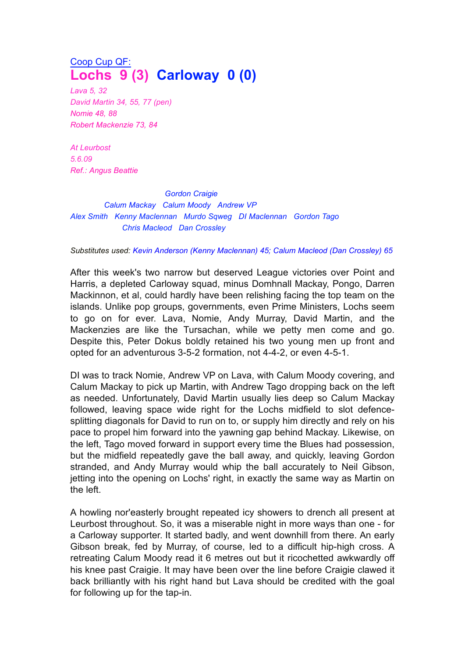## Coop Cup QF: **Lochs 9 (3) Carloway 0 (0)**

*Lava 5, 32 David Martin 34, 55, 77 (pen) Nomie 48, 88 Robert Mackenzie 73, 84*

*At Leurbost 5.6.09 Ref.: Angus Beattie*

*Gordon Craigie Calum Mackay Calum Moody Andrew VP Alex Smith Kenny Maclennan Murdo Sqweg DI Maclennan Gordon Tago Chris Macleod Dan Crossley*

## *Substitutes used: Kevin Anderson (Kenny Maclennan) 45; Calum Macleod (Dan Crossley) 65*

After this week's two narrow but deserved League victories over Point and Harris, a depleted Carloway squad, minus Domhnall Mackay, Pongo, Darren Mackinnon, et al, could hardly have been relishing facing the top team on the islands. Unlike pop groups, governments, even Prime Ministers, Lochs seem to go on for ever. Lava, Nomie, Andy Murray, David Martin, and the Mackenzies are like the Tursachan, while we petty men come and go. Despite this, Peter Dokus boldly retained his two young men up front and opted for an adventurous 3-5-2 formation, not 4-4-2, or even 4-5-1.

DI was to track Nomie, Andrew VP on Lava, with Calum Moody covering, and Calum Mackay to pick up Martin, with Andrew Tago dropping back on the left as needed. Unfortunately, David Martin usually lies deep so Calum Mackay followed, leaving space wide right for the Lochs midfield to slot defencesplitting diagonals for David to run on to, or supply him directly and rely on his pace to propel him forward into the yawning gap behind Mackay. Likewise, on the left, Tago moved forward in support every time the Blues had possession, but the midfield repeatedly gave the ball away, and quickly, leaving Gordon stranded, and Andy Murray would whip the ball accurately to Neil Gibson, jetting into the opening on Lochs' right, in exactly the same way as Martin on the left.

A howling nor'easterly brought repeated icy showers to drench all present at Leurbost throughout. So, it was a miserable night in more ways than one - for a Carloway supporter. It started badly, and went downhill from there. An early Gibson break, fed by Murray, of course, led to a difficult hip-high cross. A retreating Calum Moody read it 6 metres out but it ricochetted awkwardly off his knee past Craigie. It may have been over the line before Craigie clawed it back brilliantly with his right hand but Lava should be credited with the goal for following up for the tap-in.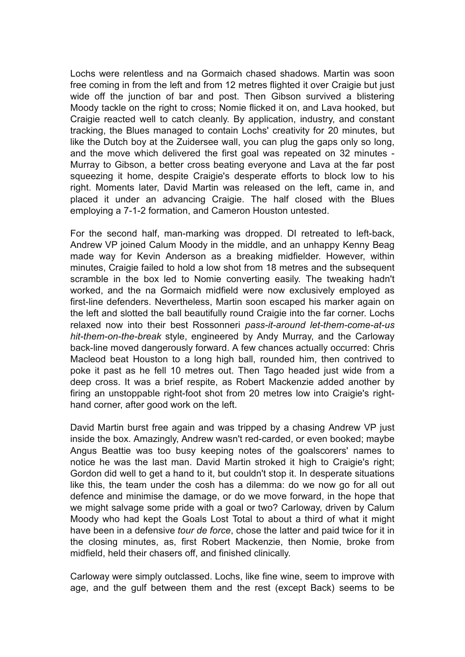Lochs were relentless and na Gormaich chased shadows. Martin was soon free coming in from the left and from 12 metres flighted it over Craigie but just wide off the junction of bar and post. Then Gibson survived a blistering Moody tackle on the right to cross; Nomie flicked it on, and Lava hooked, but Craigie reacted well to catch cleanly. By application, industry, and constant tracking, the Blues managed to contain Lochs' creativity for 20 minutes, but like the Dutch boy at the Zuidersee wall, you can plug the gaps only so long, and the move which delivered the first goal was repeated on 32 minutes - Murray to Gibson, a better cross beating everyone and Lava at the far post squeezing it home, despite Craigie's desperate efforts to block low to his right. Moments later, David Martin was released on the left, came in, and placed it under an advancing Craigie. The half closed with the Blues employing a 7-1-2 formation, and Cameron Houston untested.

For the second half, man-marking was dropped. DI retreated to left-back, Andrew VP joined Calum Moody in the middle, and an unhappy Kenny Beag made way for Kevin Anderson as a breaking midfielder. However, within minutes, Craigie failed to hold a low shot from 18 metres and the subsequent scramble in the box led to Nomie converting easily. The tweaking hadn't worked, and the na Gormaich midfield were now exclusively employed as first-line defenders. Nevertheless, Martin soon escaped his marker again on the left and slotted the ball beautifully round Craigie into the far corner. Lochs relaxed now into their best Rossonneri *pass-it-around let-them-come-at-us hit-them-on-the-break* style, engineered by Andy Murray, and the Carloway back-line moved dangerously forward. A few chances actually occurred: Chris Macleod beat Houston to a long high ball, rounded him, then contrived to poke it past as he fell 10 metres out. Then Tago headed just wide from a deep cross. It was a brief respite, as Robert Mackenzie added another by firing an unstoppable right-foot shot from 20 metres low into Craigie's righthand corner, after good work on the left.

David Martin burst free again and was tripped by a chasing Andrew VP just inside the box. Amazingly, Andrew wasn't red-carded, or even booked; maybe Angus Beattie was too busy keeping notes of the goalscorers' names to notice he was the last man. David Martin stroked it high to Craigie's right; Gordon did well to get a hand to it, but couldn't stop it. In desperate situations like this, the team under the cosh has a dilemma: do we now go for all out defence and minimise the damage, or do we move forward, in the hope that we might salvage some pride with a goal or two? Carloway, driven by Calum Moody who had kept the Goals Lost Total to about a third of what it might have been in a defensive *tour de force*, chose the latter and paid twice for it in the closing minutes, as, first Robert Mackenzie, then Nomie, broke from midfield, held their chasers off, and finished clinically.

Carloway were simply outclassed. Lochs, like fine wine, seem to improve with age, and the gulf between them and the rest (except Back) seems to be